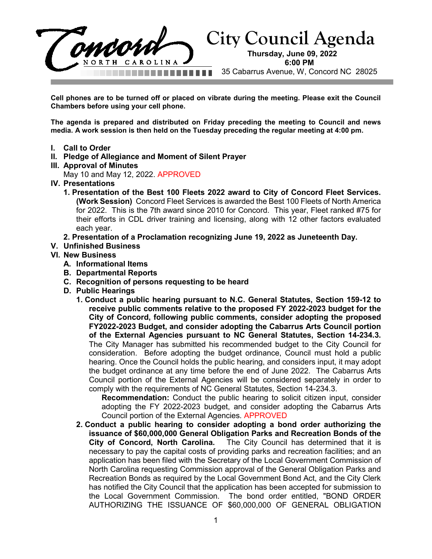

**Cell phones are to be turned off or placed on vibrate during the meeting. Please exit the Council Chambers before using your cell phone.**

**The agenda is prepared and distributed on Friday preceding the meeting to Council and news media. A work session is then held on the Tuesday preceding the regular meeting at 4:00 pm.**

- **I. Call to Order**
- **II. Pledge of Allegiance and Moment of Silent Prayer**
- **III. Approval of Minutes**

May 10 and May 12, 2022. APPROVED

- **IV. Presentations**
	- **1. Presentation of the Best 100 Fleets 2022 award to City of Concord Fleet Services. (Work Session)** Concord Fleet Services is awarded the Best 100 Fleets of North America for 2022. This is the 7th award since 2010 for Concord. This year, Fleet ranked #75 for their efforts in CDL driver training and licensing, along with 12 other factors evaluated each year.
	- **2. Presentation of a Proclamation recognizing June 19, 2022 as Juneteenth Day.**
- **V. Unfinished Business**
- **VI. New Business**
	- **A. Informational Items**
	- **B. Departmental Reports**
	- **C. Recognition of persons requesting to be heard**
	- **D. Public Hearings**
		- **1. Conduct a public hearing pursuant to N.C. General Statutes, Section 159-12 to receive public comments relative to the proposed FY 2022-2023 budget for the City of Concord, following public comments, consider adopting the proposed FY2022-2023 Budget, and consider adopting the Cabarrus Arts Council portion of the External Agencies pursuant to NC General Statutes, Section 14-234.3.** The City Manager has submitted his recommended budget to the City Council for consideration. Before adopting the budget ordinance, Council must hold a public hearing. Once the Council holds the public hearing, and considers input, it may adopt the budget ordinance at any time before the end of June 2022. The Cabarrus Arts Council portion of the External Agencies will be considered separately in order to comply with the requirements of NC General Statutes, Section 14-234.3.

**Recommendation:** Conduct the public hearing to solicit citizen input, consider adopting the FY 2022-2023 budget, and consider adopting the Cabarrus Arts Council portion of the External Agencies. APPROVED

**2. Conduct a public hearing to consider adopting a bond order authorizing the issuance of \$60,000,000 General Obligation Parks and Recreation Bonds of the City of Concord, North Carolina.** The City Council has determined that it is necessary to pay the capital costs of providing parks and recreation facilities; and an application has been filed with the Secretary of the Local Government Commission of North Carolina requesting Commission approval of the General Obligation Parks and Recreation Bonds as required by the Local Government Bond Act, and the City Clerk has notified the City Council that the application has been accepted for submission to the Local Government Commission. The bond order entitled, "BOND ORDER AUTHORIZING THE ISSUANCE OF \$60,000,000 OF GENERAL OBLIGATION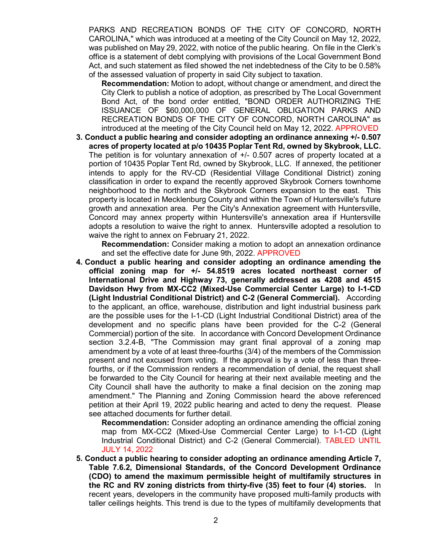PARKS AND RECREATION BONDS OF THE CITY OF CONCORD, NORTH CAROLINA," which was introduced at a meeting of the City Council on May 12, 2022, was published on May 29, 2022, with notice of the public hearing. On file in the Clerk's office is a statement of debt complying with provisions of the Local Government Bond Act, and such statement as filed showed the net indebtedness of the City to be 0.58% of the assessed valuation of property in said City subject to taxation.

**Recommendation:** Motion to adopt, without change or amendment, and direct the City Clerk to publish a notice of adoption, as prescribed by The Local Government Bond Act, of the bond order entitled, "BOND ORDER AUTHORIZING THE ISSUANCE OF \$60,000,000 OF GENERAL OBLIGATION PARKS AND RECREATION BONDS OF THE CITY OF CONCORD, NORTH CAROLINA" as introduced at the meeting of the City Council held on May 12, 2022. APPROVED

**3. Conduct a public hearing and consider adopting an ordinance annexing +/- 0.507 acres of property located at p/o 10435 Poplar Tent Rd, owned by Skybrook, LLC.** The petition is for voluntary annexation of +/- 0.507 acres of property located at a portion of 10435 Poplar Tent Rd, owned by Skybrook, LLC. If annexed, the petitioner intends to apply for the RV-CD (Residential Village Conditional District) zoning classification in order to expand the recently approved Skybrook Corners townhome neighborhood to the north and the Skybrook Corners expansion to the east. This property is located in Mecklenburg County and within the Town of Huntersville's future growth and annexation area. Per the City's Annexation agreement with Huntersville, Concord may annex property within Huntersville's annexation area if Huntersville adopts a resolution to waive the right to annex. Huntersville adopted a resolution to waive the right to annex on February 21, 2022.

**Recommendation:** Consider making a motion to adopt an annexation ordinance and set the effective date for June 9th, 2022. APPROVED

**4. Conduct a public hearing and consider adopting an ordinance amending the official zoning map for +/- 54.8519 acres located northeast corner of International Drive and Highway 73, generally addressed as 4208 and 4515 Davidson Hwy from MX-CC2 (Mixed-Use Commercial Center Large) to I-1-CD (Light Industrial Conditional District) and C-2 (General Commercial).** According to the applicant, an office, warehouse, distribution and light industrial business park are the possible uses for the I-1-CD (Light Industrial Conditional District) area of the development and no specific plans have been provided for the C-2 (General Commercial) portion of the site. In accordance with Concord Development Ordinance section 3.2.4-B, "The Commission may grant final approval of a zoning map amendment by a vote of at least three-fourths (3/4) of the members of the Commission present and not excused from voting. If the approval is by a vote of less than threefourths, or if the Commission renders a recommendation of denial, the request shall be forwarded to the City Council for hearing at their next available meeting and the City Council shall have the authority to make a final decision on the zoning map amendment." The Planning and Zoning Commission heard the above referenced petition at their April 19, 2022 public hearing and acted to deny the request. Please see attached documents for further detail.

**Recommendation:** Consider adopting an ordinance amending the official zoning map from MX-CC2 (Mixed-Use Commercial Center Large) to I-1-CD (Light Industrial Conditional District) and C-2 (General Commercial). TABLED UNTIL JULY 14, 2022

**5. Conduct a public hearing to consider adopting an ordinance amending Article 7, Table 7.6.2, Dimensional Standards, of the Concord Development Ordinance (CDO) to amend the maximum permissible height of multifamily structures in the RC and RV zoning districts from thirty-five (35) feet to four (4) stories.** In recent years, developers in the community have proposed multi-family products with taller ceilings heights. This trend is due to the types of multifamily developments that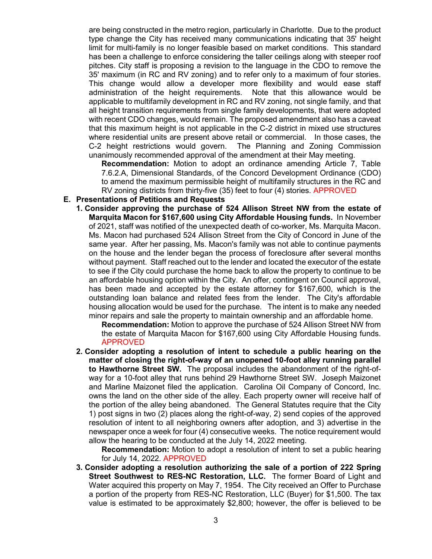are being constructed in the metro region, particularly in Charlotte. Due to the product type change the City has received many communications indicating that 35' height limit for multi-family is no longer feasible based on market conditions. This standard has been a challenge to enforce considering the taller ceilings along with steeper roof pitches. City staff is proposing a revision to the language in the CDO to remove the 35' maximum (in RC and RV zoning) and to refer only to a maximum of four stories. This change would allow a developer more flexibility and would ease staff administration of the height requirements. Note that this allowance would be applicable to multifamily development in RC and RV zoning, not single family, and that all height transition requirements from single family developments, that were adopted with recent CDO changes, would remain. The proposed amendment also has a caveat that this maximum height is not applicable in the C-2 district in mixed use structures where residential units are present above retail or commercial. In those cases, the C-2 height restrictions would govern. The Planning and Zoning Commission unanimously recommended approval of the amendment at their May meeting.

**Recommendation:** Motion to adopt an ordinance amending Article 7, Table 7.6.2.A, Dimensional Standards, of the Concord Development Ordinance (CDO) to amend the maximum permissible height of multifamily structures in the RC and RV zoning districts from thirty-five (35) feet to four (4) stories. APPROVED

## **E. Presentations of Petitions and Requests**

**1. Consider approving the purchase of 524 Allison Street NW from the estate of Marquita Macon for \$167,600 using City Affordable Housing funds.** In November of 2021, staff was notified of the unexpected death of co-worker, Ms. Marquita Macon. Ms. Macon had purchased 524 Allison Street from the City of Concord in June of the same year. After her passing, Ms. Macon's family was not able to continue payments on the house and the lender began the process of foreclosure after several months without payment. Staff reached out to the lender and located the executor of the estate to see if the City could purchase the home back to allow the property to continue to be an affordable housing option within the City. An offer, contingent on Council approval, has been made and accepted by the estate attorney for \$167,600, which is the outstanding loan balance and related fees from the lender. The City's affordable housing allocation would be used for the purchase. The intent is to make any needed minor repairs and sale the property to maintain ownership and an affordable home.

**Recommendation:** Motion to approve the purchase of 524 Allison Street NW from the estate of Marquita Macon for \$167,600 using City Affordable Housing funds. APPROVED

**2. Consider adopting a resolution of intent to schedule a public hearing on the matter of closing the right-of-way of an unopened 10-foot alley running parallel to Hawthorne Street SW.** The proposal includes the abandonment of the right-ofway for a 10-foot alley that runs behind 29 Hawthorne Street SW. Joseph Maizonet and Marline Maizonet filed the application. Carolina Oil Company of Concord, Inc. owns the land on the other side of the alley. Each property owner will receive half of the portion of the alley being abandoned. The General Statutes require that the City 1) post signs in two (2) places along the right-of-way, 2) send copies of the approved resolution of intent to all neighboring owners after adoption, and 3) advertise in the newspaper once a week for four (4) consecutive weeks. The notice requirement would allow the hearing to be conducted at the July 14, 2022 meeting.

**Recommendation:** Motion to adopt a resolution of intent to set a public hearing for July 14, 2022. APPROVED

**3. Consider adopting a resolution authorizing the sale of a portion of 222 Spring Street Southwest to RES-NC Restoration, LLC.** The former Board of Light and Water acquired this property on May 7, 1954. The City received an Offer to Purchase a portion of the property from RES-NC Restoration, LLC (Buyer) for \$1,500. The tax value is estimated to be approximately \$2,800; however, the offer is believed to be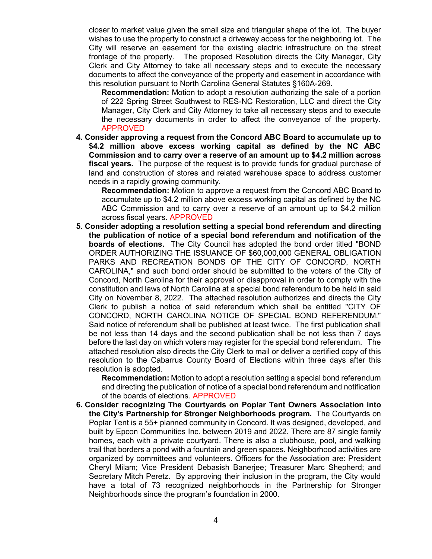closer to market value given the small size and triangular shape of the lot. The buyer wishes to use the property to construct a driveway access for the neighboring lot. The City will reserve an easement for the existing electric infrastructure on the street frontage of the property. The proposed Resolution directs the City Manager, City Clerk and City Attorney to take all necessary steps and to execute the necessary documents to affect the conveyance of the property and easement in accordance with this resolution pursuant to North Carolina General Statutes §160A-269.

**Recommendation:** Motion to adopt a resolution authorizing the sale of a portion of 222 Spring Street Southwest to RES-NC Restoration, LLC and direct the City Manager, City Clerk and City Attorney to take all necessary steps and to execute the necessary documents in order to affect the conveyance of the property. APPROVED

**4. Consider approving a request from the Concord ABC Board to accumulate up to \$4.2 million above excess working capital as defined by the NC ABC Commission and to carry over a reserve of an amount up to \$4.2 million across fiscal years.** The purpose of the request is to provide funds for gradual purchase of land and construction of stores and related warehouse space to address customer needs in a rapidly growing community.

**Recommendation:** Motion to approve a request from the Concord ABC Board to accumulate up to \$4.2 million above excess working capital as defined by the NC ABC Commission and to carry over a reserve of an amount up to \$4.2 million across fiscal years. APPROVED

**5. Consider adopting a resolution setting a special bond referendum and directing the publication of notice of a special bond referendum and notification of the boards of elections.** The City Council has adopted the bond order titled "BOND ORDER AUTHORIZING THE ISSUANCE OF \$60,000,000 GENERAL OBLIGATION PARKS AND RECREATION BONDS OF THE CITY OF CONCORD, NORTH CAROLINA," and such bond order should be submitted to the voters of the City of Concord, North Carolina for their approval or disapproval in order to comply with the constitution and laws of North Carolina at a special bond referendum to be held in said City on November 8, 2022. The attached resolution authorizes and directs the City Clerk to publish a notice of said referendum which shall be entitled "CITY OF CONCORD, NORTH CAROLINA NOTICE OF SPECIAL BOND REFERENDUM." Said notice of referendum shall be published at least twice. The first publication shall be not less than 14 days and the second publication shall be not less than 7 days before the last day on which voters may register for the special bond referendum. The attached resolution also directs the City Clerk to mail or deliver a certified copy of this resolution to the Cabarrus County Board of Elections within three days after this resolution is adopted.

**Recommendation:** Motion to adopt a resolution setting a special bond referendum and directing the publication of notice of a special bond referendum and notification of the boards of elections. APPROVED

**6. Consider recognizing The Courtyards on Poplar Tent Owners Association into the City's Partnership for Stronger Neighborhoods program.** The Courtyards on Poplar Tent is a 55+ planned community in Concord. It was designed, developed, and built by Epcon Communities Inc. between 2019 and 2022. There are 87 single family homes, each with a private courtyard. There is also a clubhouse, pool, and walking trail that borders a pond with a fountain and green spaces. Neighborhood activities are organized by committees and volunteers. Officers for the Association are: President Cheryl Milam; Vice President Debasish Banerjee; Treasurer Marc Shepherd; and Secretary Mitch Peretz. By approving their inclusion in the program, the City would have a total of 73 recognized neighborhoods in the Partnership for Stronger Neighborhoods since the program's foundation in 2000.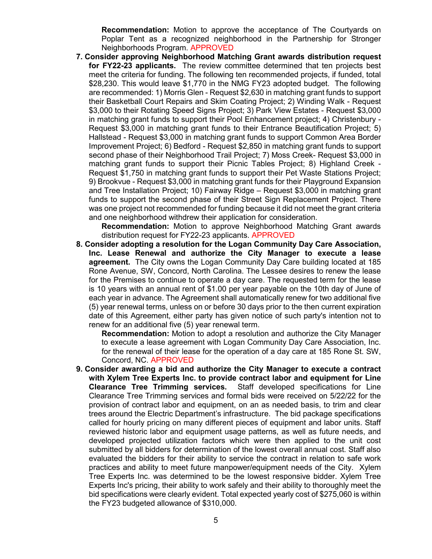**Recommendation:** Motion to approve the acceptance of The Courtyards on Poplar Tent as a recognized neighborhood in the Partnership for Stronger Neighborhoods Program. APPROVED

**7. Consider approving Neighborhood Matching Grant awards distribution request for FY22-23 applicants.** The review committee determined that ten projects best meet the criteria for funding. The following ten recommended projects, if funded, total \$28,230. This would leave \$1,770 in the NMG FY23 adopted budget. The following are recommended: 1) Morris Glen - Request \$2,630 in matching grant funds to support their Basketball Court Repairs and Skim Coating Project; 2) Winding Walk - Request \$3,000 to their Rotating Speed Signs Project; 3) Park View Estates - Request \$3,000 in matching grant funds to support their Pool Enhancement project; 4) Christenbury - Request \$3,000 in matching grant funds to their Entrance Beautification Project; 5) Hallstead - Request \$3,000 in matching grant funds to support Common Area Border Improvement Project; 6) Bedford - Request \$2,850 in matching grant funds to support second phase of their Neighborhood Trail Project; 7) Moss Creek- Request \$3,000 in matching grant funds to support their Picnic Tables Project; 8) Highland Creek - Request \$1,750 in matching grant funds to support their Pet Waste Stations Project; 9) Brookvue - Request \$3,000 in matching grant funds for their Playground Expansion and Tree Installation Project; 10) Fairway Ridge – Request \$3,000 in matching grant funds to support the second phase of their Street Sign Replacement Project. There was one project not recommended for funding because it did not meet the grant criteria and one neighborhood withdrew their application for consideration.

**Recommendation:** Motion to approve Neighborhood Matching Grant awards distribution request for FY22-23 applicants. APPROVED

**8. Consider adopting a resolution for the Logan Community Day Care Association, Inc. Lease Renewal and authorize the City Manager to execute a lease agreement.** The City owns the Logan Community Day Care building located at 185 Rone Avenue, SW, Concord, North Carolina. The Lessee desires to renew the lease for the Premises to continue to operate a day care. The requested term for the lease is 10 years with an annual rent of \$1.00 per year payable on the 10th day of June of each year in advance. The Agreement shall automatically renew for two additional five (5) year renewal terms, unless on or before 30 days prior to the then current expiration date of this Agreement, either party has given notice of such party's intention not to renew for an additional five (5) year renewal term.

**Recommendation:** Motion to adopt a resolution and authorize the City Manager to execute a lease agreement with Logan Community Day Care Association, Inc. for the renewal of their lease for the operation of a day care at 185 Rone St. SW, Concord, NC. APPROVED

**9. Consider awarding a bid and authorize the City Manager to execute a contract with Xylem Tree Experts Inc. to provide contract labor and equipment for Line Clearance Tree Trimming services.** Staff developed specifications for Line Clearance Tree Trimming services and formal bids were received on 5/22/22 for the provision of contract labor and equipment, on an as needed basis, to trim and clear trees around the Electric Department's infrastructure. The bid package specifications called for hourly pricing on many different pieces of equipment and labor units. Staff reviewed historic labor and equipment usage patterns, as well as future needs, and developed projected utilization factors which were then applied to the unit cost submitted by all bidders for determination of the lowest overall annual cost. Staff also evaluated the bidders for their ability to service the contract in relation to safe work practices and ability to meet future manpower/equipment needs of the City. Xylem Tree Experts Inc. was determined to be the lowest responsive bidder. Xylem Tree Experts Inc's pricing, their ability to work safely and their ability to thoroughly meet the bid specifications were clearly evident. Total expected yearly cost of \$275,060 is within the FY23 budgeted allowance of \$310,000.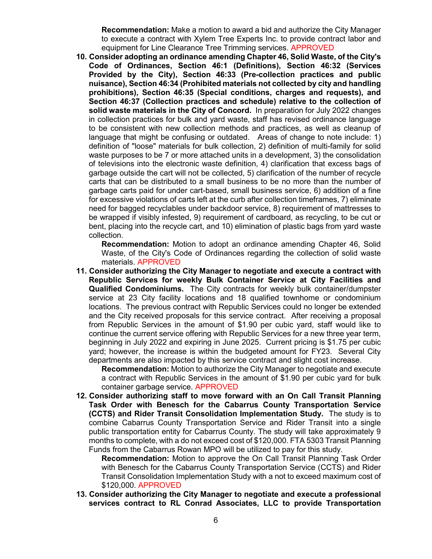**Recommendation:** Make a motion to award a bid and authorize the City Manager to execute a contract with Xylem Tree Experts Inc. to provide contract labor and equipment for Line Clearance Tree Trimming services. APPROVED

**10. Consider adopting an ordinance amending Chapter 46, Solid Waste, of the City's Code of Ordinances, Section 46:1 (Definitions), Section 46:32 (Services Provided by the City), Section 46:33 (Pre-collection practices and public nuisance), Section 46:34 (Prohibited materials not collected by city and handling prohibitions), Section 46:35 (Special conditions, charges and requests), and Section 46:37 (Collection practices and schedule) relative to the collection of solid waste materials in the City of Concord.** In preparation for July 2022 changes in collection practices for bulk and yard waste, staff has revised ordinance language to be consistent with new collection methods and practices, as well as cleanup of language that might be confusing or outdated. Areas of change to note include: 1) definition of "loose" materials for bulk collection, 2) definition of multi-family for solid waste purposes to be 7 or more attached units in a development, 3) the consolidation of televisions into the electronic waste definition, 4) clarification that excess bags of garbage outside the cart will not be collected, 5) clarification of the number of recycle carts that can be distributed to a small business to be no more than the number of garbage carts paid for under cart-based, small business service, 6) addition of a fine for excessive violations of carts left at the curb after collection timeframes, 7) eliminate need for bagged recyclables under backdoor service, 8) requirement of mattresses to be wrapped if visibly infested, 9) requirement of cardboard, as recycling, to be cut or bent, placing into the recycle cart, and 10) elimination of plastic bags from yard waste collection.

**Recommendation:** Motion to adopt an ordinance amending Chapter 46, Solid Waste, of the City's Code of Ordinances regarding the collection of solid waste materials. APPROVED

**11. Consider authorizing the City Manager to negotiate and execute a contract with Republic Services for weekly Bulk Container Service at City Facilities and Qualified Condominiums.** The City contracts for weekly bulk container/dumpster service at 23 City facility locations and 18 qualified townhome or condominium locations. The previous contract with Republic Services could no longer be extended and the City received proposals for this service contract. After receiving a proposal from Republic Services in the amount of \$1.90 per cubic yard, staff would like to continue the current service offering with Republic Services for a new three year term, beginning in July 2022 and expiring in June 2025. Current pricing is \$1.75 per cubic yard; however, the increase is within the budgeted amount for FY23. Several City departments are also impacted by this service contract and slight cost increase.

**Recommendation:** Motion to authorize the City Manager to negotiate and execute a contract with Republic Services in the amount of \$1.90 per cubic yard for bulk container garbage service. APPROVED

**12. Consider authorizing staff to move forward with an On Call Transit Planning Task Order with Benesch for the Cabarrus County Transportation Service (CCTS) and Rider Transit Consolidation Implementation Study.** The study is to combine Cabarrus County Transportation Service and Rider Transit into a single public transportation entity for Cabarrus County. The study will take approximately 9 months to complete, with a do not exceed cost of \$120,000. FTA 5303 Transit Planning Funds from the Cabarrus Rowan MPO will be utilized to pay for this study.

**Recommendation:** Motion to approve the On Call Transit Planning Task Order with Benesch for the Cabarrus County Transportation Service (CCTS) and Rider Transit Consolidation Implementation Study with a not to exceed maximum cost of \$120,000. APPROVED

**13. Consider authorizing the City Manager to negotiate and execute a professional services contract to RL Conrad Associates, LLC to provide Transportation**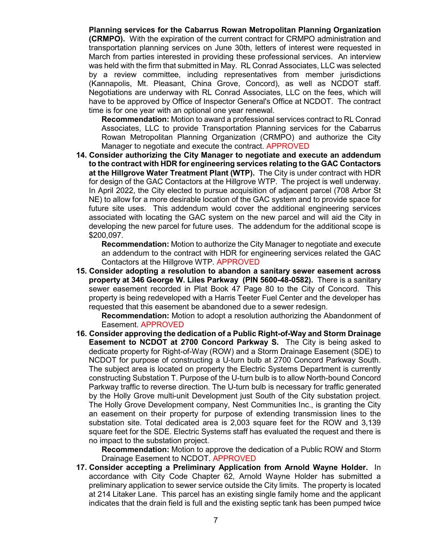**Planning services for the Cabarrus Rowan Metropolitan Planning Organization (CRMPO).** With the expiration of the current contract for CRMPO administration and transportation planning services on June 30th, letters of interest were requested in March from parties interested in providing these professional services. An interview was held with the firm that submitted in May. RL Conrad Associates, LLC was selected by a review committee, including representatives from member jurisdictions (Kannapolis, Mt. Pleasant, China Grove, Concord), as well as NCDOT staff. Negotiations are underway with RL Conrad Associates, LLC on the fees, which will have to be approved by Office of Inspector General's Office at NCDOT. The contract time is for one year with an optional one year renewal.

**Recommendation:** Motion to award a professional services contract to RL Conrad Associates, LLC to provide Transportation Planning services for the Cabarrus Rowan Metropolitan Planning Organization (CRMPO) and authorize the City Manager to negotiate and execute the contract. APPROVED

**14. Consider authorizing the City Manager to negotiate and execute an addendum to the contract with HDR for engineering services relating to the GAC Contactors at the Hillgrove Water Treatment Plant (WTP).** The City is under contract with HDR for design of the GAC Contactors at the Hillgrove WTP. The project is well underway. In April 2022, the City elected to pursue acquisition of adjacent parcel (708 Arbor St NE) to allow for a more desirable location of the GAC system and to provide space for future site uses. This addendum would cover the additional engineering services associated with locating the GAC system on the new parcel and will aid the City in developing the new parcel for future uses. The addendum for the additional scope is \$200,097.

**Recommendation:** Motion to authorize the City Manager to negotiate and execute an addendum to the contract with HDR for engineering services related the GAC Contactors at the Hillgrove WTP. APPROVED

**15. Consider adopting a resolution to abandon a sanitary sewer easement across property at 346 George W. Liles Parkway (PIN 5600-48-0582).** There is a sanitary sewer easement recorded in Plat Book 47 Page 80 to the City of Concord. This property is being redeveloped with a Harris Teeter Fuel Center and the developer has requested that this easement be abandoned due to a sewer redesign.

**Recommendation:** Motion to adopt a resolution authorizing the Abandonment of Easement. APPROVED

**16. Consider approving the dedication of a Public Right-of-Way and Storm Drainage Easement to NCDOT at 2700 Concord Parkway S.** The City is being asked to dedicate property for Right-of-Way (ROW) and a Storm Drainage Easement (SDE) to NCDOT for purpose of constructing a U-turn bulb at 2700 Concord Parkway South. The subject area is located on property the Electric Systems Department is currently constructing Substation T. Purpose of the U-turn bulb is to allow North-bound Concord Parkway traffic to reverse direction. The U-turn bulb is necessary for traffic generated by the Holly Grove multi-unit Development just South of the City substation project. The Holly Grove Development company, Nest Communities Inc., is granting the City an easement on their property for purpose of extending transmission lines to the substation site. Total dedicated area is 2,003 square feet for the ROW and 3,139 square feet for the SDE. Electric Systems staff has evaluated the request and there is no impact to the substation project.

**Recommendation:** Motion to approve the dedication of a Public ROW and Storm Drainage Easement to NCDOT. APPROVED

**17. Consider accepting a Preliminary Application from Arnold Wayne Holder.** In accordance with City Code Chapter 62, Arnold Wayne Holder has submitted a preliminary application to sewer service outside the City limits. The property is located at 214 Litaker Lane. This parcel has an existing single family home and the applicant indicates that the drain field is full and the existing septic tank has been pumped twice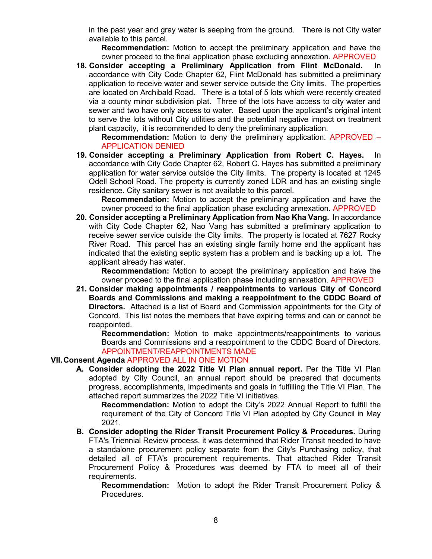in the past year and gray water is seeping from the ground. There is not City water available to this parcel.

**Recommendation:** Motion to accept the preliminary application and have the owner proceed to the final application phase excluding annexation. APPROVED

**18. Consider accepting a Preliminary Application from Flint McDonald.** In accordance with City Code Chapter 62, Flint McDonald has submitted a preliminary application to receive water and sewer service outside the City limits. The properties are located on Archibald Road. There is a total of 5 lots which were recently created via a county minor subdivision plat. Three of the lots have access to city water and sewer and two have only access to water. Based upon the applicant's original intent to serve the lots without City utilities and the potential negative impact on treatment plant capacity, it is recommended to deny the preliminary application.

**Recommendation:** Motion to deny the preliminary application. APPROVED – APPLICATION DENIED

**19. Consider accepting a Preliminary Application from Robert C. Hayes.** In accordance with City Code Chapter 62, Robert C. Hayes has submitted a preliminary application for water service outside the City limits. The property is located at 1245 Odell School Road. The property is currently zoned LDR and has an existing single residence. City sanitary sewer is not available to this parcel.

**Recommendation:** Motion to accept the preliminary application and have the owner proceed to the final application phase excluding annexation. APPROVED

**20. Consider accepting a Preliminary Application from Nao Kha Vang.** In accordance with City Code Chapter 62, Nao Vang has submitted a preliminary application to receive sewer service outside the City limits. The property is located at 7627 Rocky River Road. This parcel has an existing single family home and the applicant has indicated that the existing septic system has a problem and is backing up a lot. The applicant already has water.

**Recommendation:** Motion to accept the preliminary application and have the owner proceed to the final application phase including annexation. APPROVED

**21. Consider making appointments / reappointments to various City of Concord Boards and Commissions and making a reappointment to the CDDC Board of Directors.** Attached is a list of Board and Commission appointments for the City of Concord. This list notes the members that have expiring terms and can or cannot be reappointed.

**Recommendation:** Motion to make appointments/reappointments to various Boards and Commissions and a reappointment to the CDDC Board of Directors. APPOINTMENT/REAPPOINTMENTS MADE

## **VII.Consent Agenda** APPROVED ALL IN ONE MOTION

**A. Consider adopting the 2022 Title VI Plan annual report.** Per the Title VI Plan adopted by City Council, an annual report should be prepared that documents progress, accomplishments, impediments and goals in fulfilling the Title VI Plan. The attached report summarizes the 2022 Title VI initiatives.

**Recommendation:** Motion to adopt the City's 2022 Annual Report to fulfill the requirement of the City of Concord Title VI Plan adopted by City Council in May 2021.

**B. Consider adopting the Rider Transit Procurement Policy & Procedures.** During FTA's Triennial Review process, it was determined that Rider Transit needed to have a standalone procurement policy separate from the City's Purchasing policy, that detailed all of FTA's procurement requirements. That attached Rider Transit Procurement Policy & Procedures was deemed by FTA to meet all of their requirements.

**Recommendation:** Motion to adopt the Rider Transit Procurement Policy & Procedures.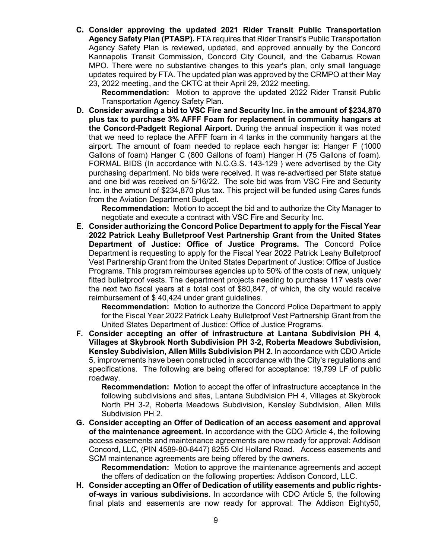**C. Consider approving the updated 2021 Rider Transit Public Transportation Agency Safety Plan (PTASP).** FTA requires that Rider Transit's Public Transportation Agency Safety Plan is reviewed, updated, and approved annually by the Concord Kannapolis Transit Commission, Concord City Council, and the Cabarrus Rowan MPO. There were no substantive changes to this year's plan, only small language updates required by FTA. The updated plan was approved by the CRMPO at their May 23, 2022 meeting, and the CKTC at their April 29, 2022 meeting.

**Recommendation:** Motion to approve the updated 2022 Rider Transit Public Transportation Agency Safety Plan.

**D. Consider awarding a bid to VSC Fire and Security Inc. in the amount of \$234,870 plus tax to purchase 3% AFFF Foam for replacement in community hangars at the Concord-Padgett Regional Airport.** During the annual inspection it was noted that we need to replace the AFFF foam in 4 tanks in the community hangars at the airport. The amount of foam needed to replace each hangar is: Hanger F (1000 Gallons of foam) Hanger C (800 Gallons of foam) Hanger H (75 Gallons of foam). FORMAL BIDS (In accordance with N.C.G.S. 143-129 ) were advertised by the City purchasing department. No bids were received. It was re-advertised per State statue and one bid was received on 5/16/22. The sole bid was from VSC Fire and Security Inc. in the amount of \$234,870 plus tax. This project will be funded using Cares funds from the Aviation Department Budget.

**Recommendation:** Motion to accept the bid and to authorize the City Manager to negotiate and execute a contract with VSC Fire and Security Inc.

**E. Consider authorizing the Concord Police Department to apply for the Fiscal Year 2022 Patrick Leahy Bulletproof Vest Partnership Grant from the United States Department of Justice: Office of Justice Programs.** The Concord Police Department is requesting to apply for the Fiscal Year 2022 Patrick Leahy Bulletproof Vest Partnership Grant from the United States Department of Justice: Office of Justice Programs. This program reimburses agencies up to 50% of the costs of new, uniquely fitted bulletproof vests. The department projects needing to purchase 117 vests over the next two fiscal years at a total cost of \$80,847, of which, the city would receive reimbursement of \$ 40,424 under grant guidelines.

**Recommendation:** Motion to authorize the Concord Police Department to apply for the Fiscal Year 2022 Patrick Leahy Bulletproof Vest Partnership Grant from the United States Department of Justice: Office of Justice Programs.

**F. Consider accepting an offer of infrastructure at Lantana Subdivision PH 4, Villages at Skybrook North Subdivision PH 3-2, Roberta Meadows Subdivision, Kensley Subdivision, Allen Mills Subdivision PH 2.** In accordance with CDO Article 5, improvements have been constructed in accordance with the City's regulations and specifications. The following are being offered for acceptance: 19,799 LF of public roadway.

**Recommendation:** Motion to accept the offer of infrastructure acceptance in the following subdivisions and sites, Lantana Subdivision PH 4, Villages at Skybrook North PH 3-2, Roberta Meadows Subdivision, Kensley Subdivision, Allen Mills Subdivision PH 2.

**G. Consider accepting an Offer of Dedication of an access easement and approval of the maintenance agreement.** In accordance with the CDO Article 4, the following access easements and maintenance agreements are now ready for approval: Addison Concord, LLC, (PIN 4589-80-8447) 8255 Old Holland Road. Access easements and SCM maintenance agreements are being offered by the owners.

**Recommendation:** Motion to approve the maintenance agreements and accept the offers of dedication on the following properties: Addison Concord, LLC.

**H. Consider accepting an Offer of Dedication of utility easements and public rightsof-ways in various subdivisions.** In accordance with CDO Article 5, the following final plats and easements are now ready for approval: The Addison Eighty50,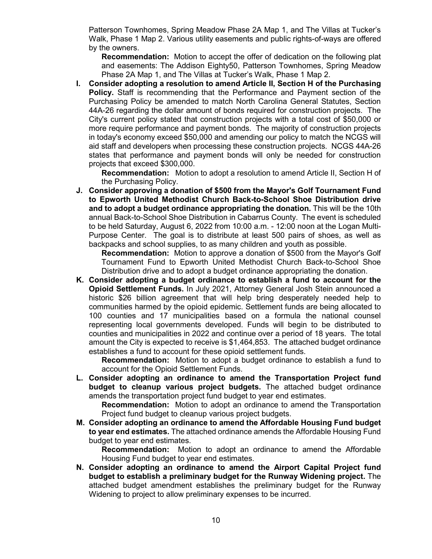Patterson Townhomes, Spring Meadow Phase 2A Map 1, and The Villas at Tucker's Walk, Phase 1 Map 2. Various utility easements and public rights-of-ways are offered by the owners.

**Recommendation:** Motion to accept the offer of dedication on the following plat and easements: The Addison Eighty50, Patterson Townhomes, Spring Meadow Phase 2A Map 1, and The Villas at Tucker's Walk, Phase 1 Map 2.

**I. Consider adopting a resolution to amend Article II, Section H of the Purchasing Policy.** Staff is recommending that the Performance and Payment section of the Purchasing Policy be amended to match North Carolina General Statutes, Section 44A-26 regarding the dollar amount of bonds required for construction projects. The City's current policy stated that construction projects with a total cost of \$50,000 or more require performance and payment bonds. The majority of construction projects in today's economy exceed \$50,000 and amending our policy to match the NCGS will aid staff and developers when processing these construction projects. NCGS 44A-26 states that performance and payment bonds will only be needed for construction projects that exceed \$300,000.

**Recommendation:** Motion to adopt a resolution to amend Article II, Section H of the Purchasing Policy.

**J. Consider approving a donation of \$500 from the Mayor's Golf Tournament Fund to Epworth United Methodist Church Back-to-School Shoe Distribution drive and to adopt a budget ordinance appropriating the donation.** This will be the 10th annual Back-to-School Shoe Distribution in Cabarrus County. The event is scheduled to be held Saturday, August 6, 2022 from 10:00 a.m. - 12:00 noon at the Logan Multi-Purpose Center. The goal is to distribute at least 500 pairs of shoes, as well as backpacks and school supplies, to as many children and youth as possible.

**Recommendation:** Motion to approve a donation of \$500 from the Mayor's Golf Tournament Fund to Epworth United Methodist Church Back-to-School Shoe Distribution drive and to adopt a budget ordinance appropriating the donation.

**K. Consider adopting a budget ordinance to establish a fund to account for the Opioid Settlement Funds.** In July 2021, Attorney General Josh Stein announced a historic \$26 billion agreement that will help bring desperately needed help to communities harmed by the opioid epidemic. Settlement funds are being allocated to 100 counties and 17 municipalities based on a formula the national counsel representing local governments developed. Funds will begin to be distributed to counties and municipalities in 2022 and continue over a period of 18 years. The total amount the City is expected to receive is \$1,464,853. The attached budget ordinance establishes a fund to account for these opioid settlement funds.

**Recommendation:** Motion to adopt a budget ordinance to establish a fund to account for the Opioid Settlement Funds.

**L. Consider adopting an ordinance to amend the Transportation Project fund budget to cleanup various project budgets.** The attached budget ordinance amends the transportation project fund budget to year end estimates.

**Recommendation:** Motion to adopt an ordinance to amend the Transportation Project fund budget to cleanup various project budgets.

**M. Consider adopting an ordinance to amend the Affordable Housing Fund budget to year end estimates.** The attached ordinance amends the Affordable Housing Fund budget to year end estimates.

**Recommendation:** Motion to adopt an ordinance to amend the Affordable Housing Fund budget to year end estimates.

**N. Consider adopting an ordinance to amend the Airport Capital Project fund budget to establish a preliminary budget for the Runway Widening project.** The attached budget amendment establishes the preliminary budget for the Runway Widening to project to allow preliminary expenses to be incurred.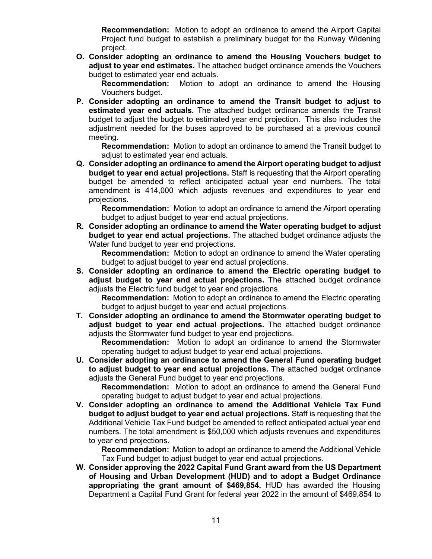**Recommendation:** Motion to adopt an ordinance to amend the Airport Capital Project fund budget to establish a preliminary budget for the Runway Widening project.

**O. Consider adopting an ordinance to amend the Housing Vouchers budget to adjust to year end estimates.** The attached budget ordinance amends the Vouchers budget to estimated year end actuals.

**Recommendation:** Motion to adopt an ordinance to amend the Housing Vouchers budget.

**P. Consider adopting an ordinance to amend the Transit budget to adjust to estimated year end actuals.** The attached budget ordinance amends the Transit budget to adjust the budget to estimated year end projection. This also includes the adjustment needed for the buses approved to be purchased at a previous council meeting.

**Recommendation:** Motion to adopt an ordinance to amend the Transit budget to adjust to estimated year end actuals.

**Q. Consider adopting an ordinance to amend the Airport operating budget to adjust budget to year end actual projections.** Staff is requesting that the Airport operating budget be amended to reflect anticipated actual year end numbers. The total amendment is 414,000 which adjusts revenues and expenditures to year end projections.

**Recommendation:** Motion to adopt an ordinance to amend the Airport operating budget to adjust budget to year end actual projections.

**R. Consider adopting an ordinance to amend the Water operating budget to adjust budget to year end actual projections.** The attached budget ordinance adjusts the Water fund budget to year end projections.

**Recommendation:** Motion to adopt an ordinance to amend the Water operating budget to adjust budget to year end actual projections.

**S. Consider adopting an ordinance to amend the Electric operating budget to adjust budget to year end actual projections.** The attached budget ordinance adjusts the Electric fund budget to year end projections.

**Recommendation:** Motion to adopt an ordinance to amend the Electric operating budget to adjust budget to year end actual projections.

**T. Consider adopting an ordinance to amend the Stormwater operating budget to adjust budget to year end actual projections.** The attached budget ordinance adjusts the Stormwater fund budget to year end projections.

**Recommendation:** Motion to adopt an ordinance to amend the Stormwater operating budget to adjust budget to year end actual projections.

**U. Consider adopting an ordinance to amend the General Fund operating budget to adjust budget to year end actual projections.** The attached budget ordinance adjusts the General Fund budget to year end projections.

**Recommendation:** Motion to adopt an ordinance to amend the General Fund operating budget to adjust budget to year end actual projections.

**V. Consider adopting an ordinance to amend the Additional Vehicle Tax Fund budget to adjust budget to year end actual projections.** Staff is requesting that the Additional Vehicle Tax Fund budget be amended to reflect anticipated actual year end numbers. The total amendment is \$50,000 which adjusts revenues and expenditures to year end projections.

**Recommendation:** Motion to adopt an ordinance to amend the Additional Vehicle Tax Fund budget to adjust budget to year end actual projections.

**W. Consider approving the 2022 Capital Fund Grant award from the US Department of Housing and Urban Development (HUD) and to adopt a Budget Ordinance appropriating the grant amount of \$469,854.** HUD has awarded the Housing Department a Capital Fund Grant for federal year 2022 in the amount of \$469,854 to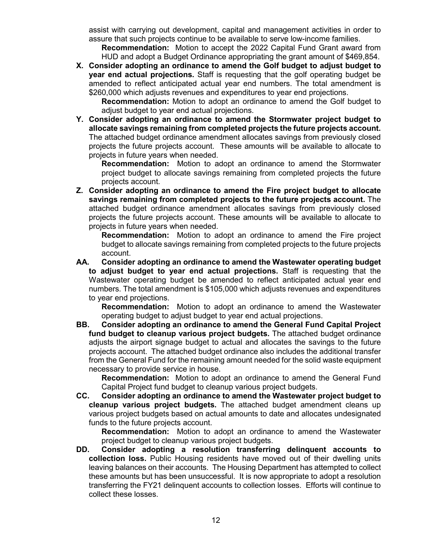assist with carrying out development, capital and management activities in order to assure that such projects continue to be available to serve low-income families.

**Recommendation:** Motion to accept the 2022 Capital Fund Grant award from HUD and adopt a Budget Ordinance appropriating the grant amount of \$469,854.

**X. Consider adopting an ordinance to amend the Golf budget to adjust budget to year end actual projections.** Staff is requesting that the golf operating budget be amended to reflect anticipated actual year end numbers. The total amendment is \$260,000 which adjusts revenues and expenditures to year end projections.

**Recommendation:** Motion to adopt an ordinance to amend the Golf budget to adjust budget to year end actual projections.

**Y. Consider adopting an ordinance to amend the Stormwater project budget to allocate savings remaining from completed projects the future projects account.** The attached budget ordinance amendment allocates savings from previously closed projects the future projects account. These amounts will be available to allocate to projects in future years when needed.

**Recommendation:** Motion to adopt an ordinance to amend the Stormwater project budget to allocate savings remaining from completed projects the future projects account.

**Z. Consider adopting an ordinance to amend the Fire project budget to allocate savings remaining from completed projects to the future projects account.** The attached budget ordinance amendment allocates savings from previously closed projects the future projects account. These amounts will be available to allocate to projects in future years when needed.

**Recommendation:** Motion to adopt an ordinance to amend the Fire project budget to allocate savings remaining from completed projects to the future projects account.

**AA. Consider adopting an ordinance to amend the Wastewater operating budget to adjust budget to year end actual projections.** Staff is requesting that the Wastewater operating budget be amended to reflect anticipated actual year end numbers. The total amendment is \$105,000 which adjusts revenues and expenditures to year end projections.

**Recommendation:** Motion to adopt an ordinance to amend the Wastewater operating budget to adjust budget to year end actual projections.

**BB. Consider adopting an ordinance to amend the General Fund Capital Project fund budget to cleanup various project budgets.** The attached budget ordinance adjusts the airport signage budget to actual and allocates the savings to the future projects account. The attached budget ordinance also includes the additional transfer from the General Fund for the remaining amount needed for the solid waste equipment necessary to provide service in house.

**Recommendation:** Motion to adopt an ordinance to amend the General Fund Capital Project fund budget to cleanup various project budgets.

**CC. Consider adopting an ordinance to amend the Wastewater project budget to cleanup various project budgets.** The attached budget amendment cleans up various project budgets based on actual amounts to date and allocates undesignated funds to the future projects account.

**Recommendation:** Motion to adopt an ordinance to amend the Wastewater project budget to cleanup various project budgets.

**DD. Consider adopting a resolution transferring delinquent accounts to collection loss.** Public Housing residents have moved out of their dwelling units leaving balances on their accounts. The Housing Department has attempted to collect these amounts but has been unsuccessful. It is now appropriate to adopt a resolution transferring the FY21 delinquent accounts to collection losses. Efforts will continue to collect these losses.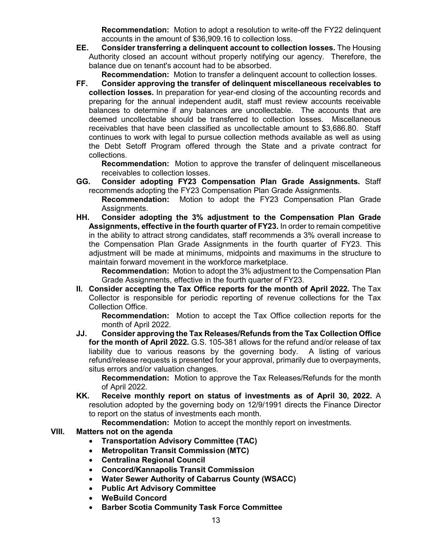**Recommendation:** Motion to adopt a resolution to write-off the FY22 delinquent accounts in the amount of \$36,909.16 to collection loss.

**EE. Consider transferring a delinquent account to collection losses.** The Housing Authority closed an account without properly notifying our agency. Therefore, the balance due on tenant's account had to be absorbed.

**Recommendation:** Motion to transfer a delinquent account to collection losses.

**FF. Consider approving the transfer of delinquent miscellaneous receivables to collection losses.** In preparation for year-end closing of the accounting records and preparing for the annual independent audit, staff must review accounts receivable balances to determine if any balances are uncollectable. The accounts that are deemed uncollectable should be transferred to collection losses. Miscellaneous receivables that have been classified as uncollectable amount to \$3,686.80. Staff continues to work with legal to pursue collection methods available as well as using the Debt Setoff Program offered through the State and a private contract for collections.

**Recommendation:** Motion to approve the transfer of delinquent miscellaneous receivables to collection losses.

**GG. Consider adopting FY23 Compensation Plan Grade Assignments.** Staff recommends adopting the FY23 Compensation Plan Grade Assignments.

**Recommendation:** Motion to adopt the FY23 Compensation Plan Grade Assignments.

**HH. Consider adopting the 3% adjustment to the Compensation Plan Grade Assignments, effective in the fourth quarter of FY23.** In order to remain competitive in the ability to attract strong candidates, staff recommends a 3% overall increase to the Compensation Plan Grade Assignments in the fourth quarter of FY23. This adjustment will be made at minimums, midpoints and maximums in the structure to maintain forward movement in the workforce marketplace.

**Recommendation:** Motion to adopt the 3% adjustment to the Compensation Plan Grade Assignments, effective in the fourth quarter of FY23.

**II. Consider accepting the Tax Office reports for the month of April 2022.** The Tax Collector is responsible for periodic reporting of revenue collections for the Tax Collection Office.

**Recommendation:** Motion to accept the Tax Office collection reports for the month of April 2022.

**JJ. Consider approving the Tax Releases/Refunds from the Tax Collection Office for the month of April 2022.** G.S. 105-381 allows for the refund and/or release of tax liability due to various reasons by the governing body. A listing of various refund/release requests is presented for your approval, primarily due to overpayments, situs errors and/or valuation changes.

**Recommendation:** Motion to approve the Tax Releases/Refunds for the month of April 2022.

**KK. Receive monthly report on status of investments as of April 30, 2022.** A resolution adopted by the governing body on 12/9/1991 directs the Finance Director to report on the status of investments each month.

**Recommendation:** Motion to accept the monthly report on investments.

## **VIII. Matters not on the agenda**

- **Transportation Advisory Committee (TAC)**
- **Metropolitan Transit Commission (MTC)**
- **Centralina Regional Council**
- **Concord/Kannapolis Transit Commission**
- **Water Sewer Authority of Cabarrus County (WSACC)**
- **Public Art Advisory Committee**
- **WeBuild Concord**
- **Barber Scotia Community Task Force Committee**